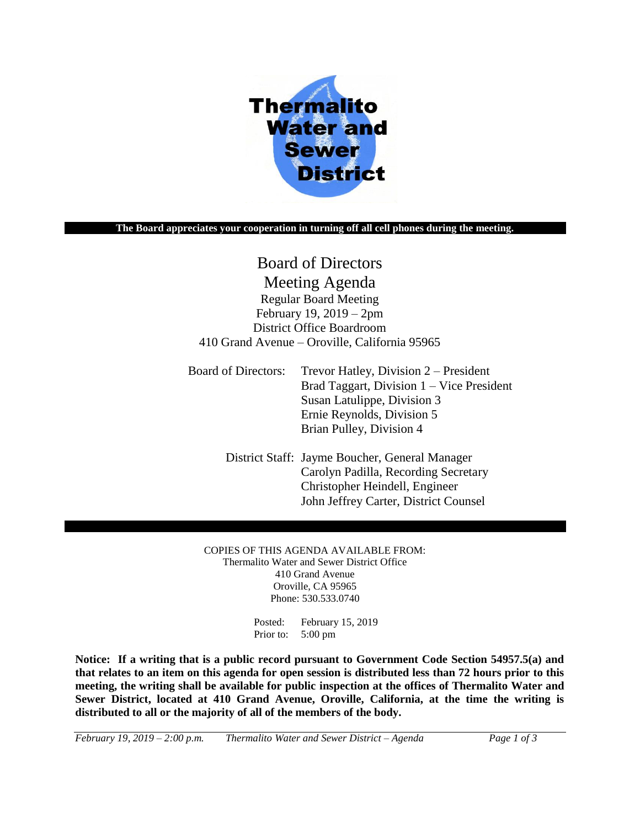

#### **The Board appreciates your cooperation in turning off all cell phones during the meeting.**

# Board of Directors

Meeting Agenda Regular Board Meeting February 19, 2019 – 2pm District Office Boardroom 410 Grand Avenue – Oroville, California 95965

Board of Directors: Trevor Hatley, Division 2 – President Brad Taggart, Division 1 – Vice President Susan Latulippe, Division 3 Ernie Reynolds, Division 5 Brian Pulley, Division 4

> District Staff: Jayme Boucher, General Manager Carolyn Padilla, Recording Secretary Christopher Heindell, Engineer John Jeffrey Carter, District Counsel

COPIES OF THIS AGENDA AVAILABLE FROM: Thermalito Water and Sewer District Office 410 Grand Avenue Oroville, CA 95965 Phone: 530.533.0740

> Posted: February 15, 2019 Prior to: 5:00 pm

**Notice: If a writing that is a public record pursuant to Government Code Section 54957.5(a) and that relates to an item on this agenda for open session is distributed less than 72 hours prior to this meeting, the writing shall be available for public inspection at the offices of Thermalito Water and Sewer District, located at 410 Grand Avenue, Oroville, California, at the time the writing is distributed to all or the majority of all of the members of the body.**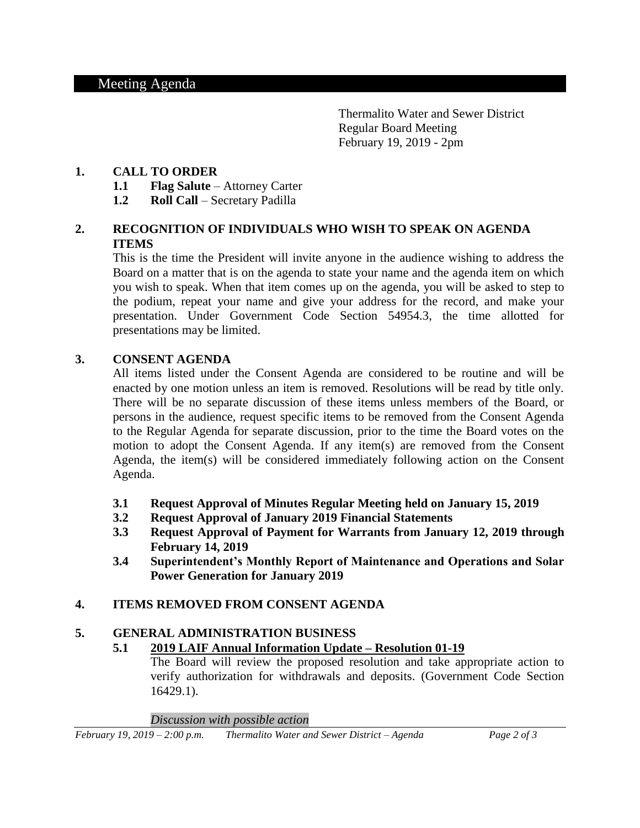Thermalito Water and Sewer District Regular Board Meeting February 19, 2019 - 2pm

# **1. CALL TO ORDER**

- **1.1 Flag Salute** Attorney Carter
- **1.2 Roll Call** Secretary Padilla

# **2. RECOGNITION OF INDIVIDUALS WHO WISH TO SPEAK ON AGENDA ITEMS**

This is the time the President will invite anyone in the audience wishing to address the Board on a matter that is on the agenda to state your name and the agenda item on which you wish to speak. When that item comes up on the agenda, you will be asked to step to the podium, repeat your name and give your address for the record, and make your presentation. Under Government Code Section 54954.3, the time allotted for presentations may be limited.

# **3. CONSENT AGENDA**

All items listed under the Consent Agenda are considered to be routine and will be enacted by one motion unless an item is removed. Resolutions will be read by title only. There will be no separate discussion of these items unless members of the Board, or persons in the audience, request specific items to be removed from the Consent Agenda to the Regular Agenda for separate discussion, prior to the time the Board votes on the motion to adopt the Consent Agenda. If any item(s) are removed from the Consent Agenda, the item(s) will be considered immediately following action on the Consent Agenda.

- **3.1 Request Approval of Minutes Regular Meeting held on January 15, 2019**
- **3.2 Request Approval of January 2019 Financial Statements**
- **3.3 Request Approval of Payment for Warrants from January 12, 2019 through February 14, 2019**
- **3.4 Superintendent's Monthly Report of Maintenance and Operations and Solar Power Generation for January 2019**

# **4. ITEMS REMOVED FROM CONSENT AGENDA**

# **5. GENERAL ADMINISTRATION BUSINESS**

# **5.1 2019 LAIF Annual Information Update – Resolution 01-19**

The Board will review the proposed resolution and take appropriate action to verify authorization for withdrawals and deposits. (Government Code Section 16429.1).

*Discussion with possible action*